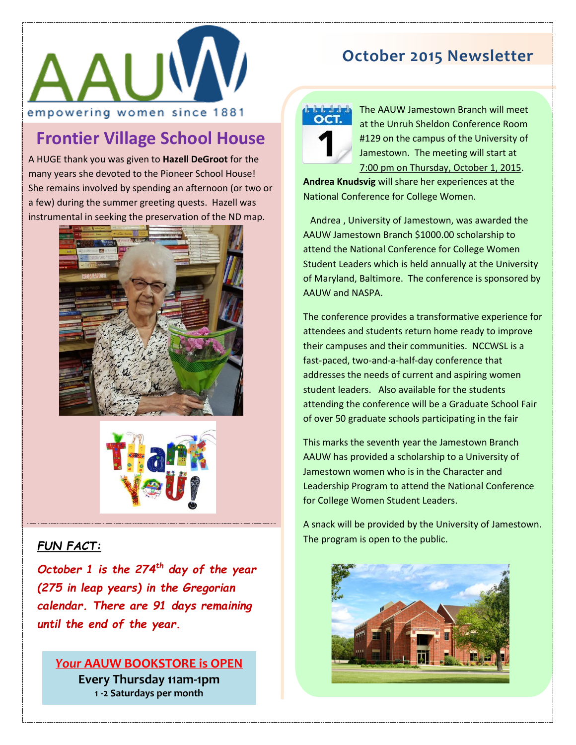

## **Frontier Village School House**

A HUGE thank you was given to **Hazell DeGroot** for the many years she devoted to the Pioneer School House! She remains involved by spending an afternoon (or two or a few) during the summer greeting quests. Hazell was instrumental in seeking the preservation of the ND map.





#### *FUN FACT:*

*October 1 is the 274th day of the year (275 in leap years) in the Gregorian calendar. There are 91 days remaining until the end of the year.*

## *Your* **AAUW BOOKSTORE is OPEN**

**Every Thursday 11am-1pm 1 -2 Saturdays per month**

## **October 2015 Newsletter**



The AAUW Jamestown Branch will meet at the Unruh Sheldon Conference Room #129 on the campus of the University of Jamestown. The meeting will start at 7:00 pm on Thursday, October 1, 2015.

**Andrea Knudsvig** will share her experiences at the National Conference for College Women.

 Andrea , University of Jamestown, was awarded the AAUW Jamestown Branch \$1000.00 scholarship to attend the National Conference for College Women Student Leaders which is held annually at the University of Maryland, Baltimore. The conference is sponsored by AAUW and NASPA.

The conference provides a transformative experience for attendees and students return home ready to improve their campuses and their communities. NCCWSL is a fast-paced, two-and-a-half-day conference that addresses the needs of current and aspiring women student leaders. Also available for the students attending the conference will be a Graduate School Fair of over 50 graduate schools participating in the fair

This marks the seventh year the Jamestown Branch AAUW has provided a scholarship to a University of Jamestown women who is in the Character and Leadership Program to attend the National Conference for College Women Student Leaders.

A snack will be provided by the University of Jamestown. The program is open to the public.